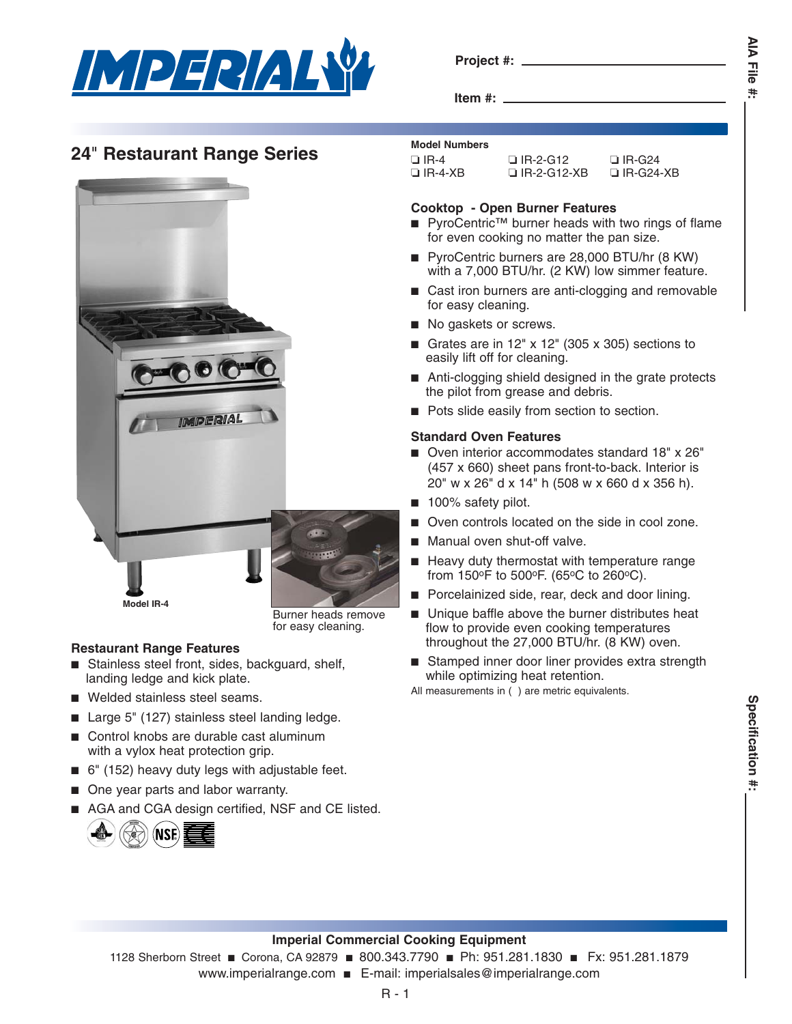

**Project #:**

**Item #:**

**AIA File AIA File #:** ŧ

# **24<sup>"</sup> Restaurant Range Series** Model Numbers



Burner heads remove for easy cleaning.

## **Restaurant Range Features**

- Stainless steel front, sides, backguard, shelf, landing ledge and kick plate.
- Welded stainless steel seams.
- Large 5" (127) stainless steel landing ledge.
- Control knobs are durable cast aluminum with a vylox heat protection grip.
- 6" (152) heavy duty legs with adjustable feet.
- One year parts and labor warranty.
- AGA and CGA design certified, NSF and CE listed.



| $\Box$ IR-2-G12    | $\Box$ IR-G24    |
|--------------------|------------------|
| $\Box$ IR-2-G12-XB | $\Box$ IR-G24-XB |
|                    |                  |

### **Cooktop - Open Burner Features**

- PyroCentric<sup>™</sup> burner heads with two rings of flame for even cooking no matter the pan size.
- PyroCentric burners are 28,000 BTU/hr (8 KW) with a 7,000 BTU/hr. (2 KW) low simmer feature.
- Cast iron burners are anti-clogging and removable for easy cleaning.
- No gaskets or screws.
- Grates are in 12"  $\times$  12" (305  $\times$  305) sections to easily lift off for cleaning.
- Anti-clogging shield designed in the grate protects the pilot from grease and debris.
- Pots slide easily from section to section.

### **Standard Oven Features**

- Oven interior accommodates standard 18" x 26" (457 x 660) sheet pans front-to-back. Interior is 20" w x 26" d x 14" h (508 w x 660 d x 356 h).
- 100% safety pilot.
- Oven controls located on the side in cool zone.
- Manual oven shut-off valve.
- Heavy duty thermostat with temperature range from 150oF to 500oF. (65oC to 260oC).
- Porcelainized side, rear, deck and door lining.
- Unique baffle above the burner distributes heat flow to provide even cooking temperatures throughout the 27,000 BTU/hr. (8 KW) oven.
- Stamped inner door liner provides extra strength while optimizing heat retention.

All measurements in ( ) are metric equivalents.

## **Imperial Commercial Cooking Equipment**

1128 Sherborn Street ■ Corona, CA 92879 ■ 800.343.7790 ■ Ph: 951.281.1830 ■ Fx: 951.281.1879 www.imperialrange.com ■ E-mail: imperialsales@imperialrange.com